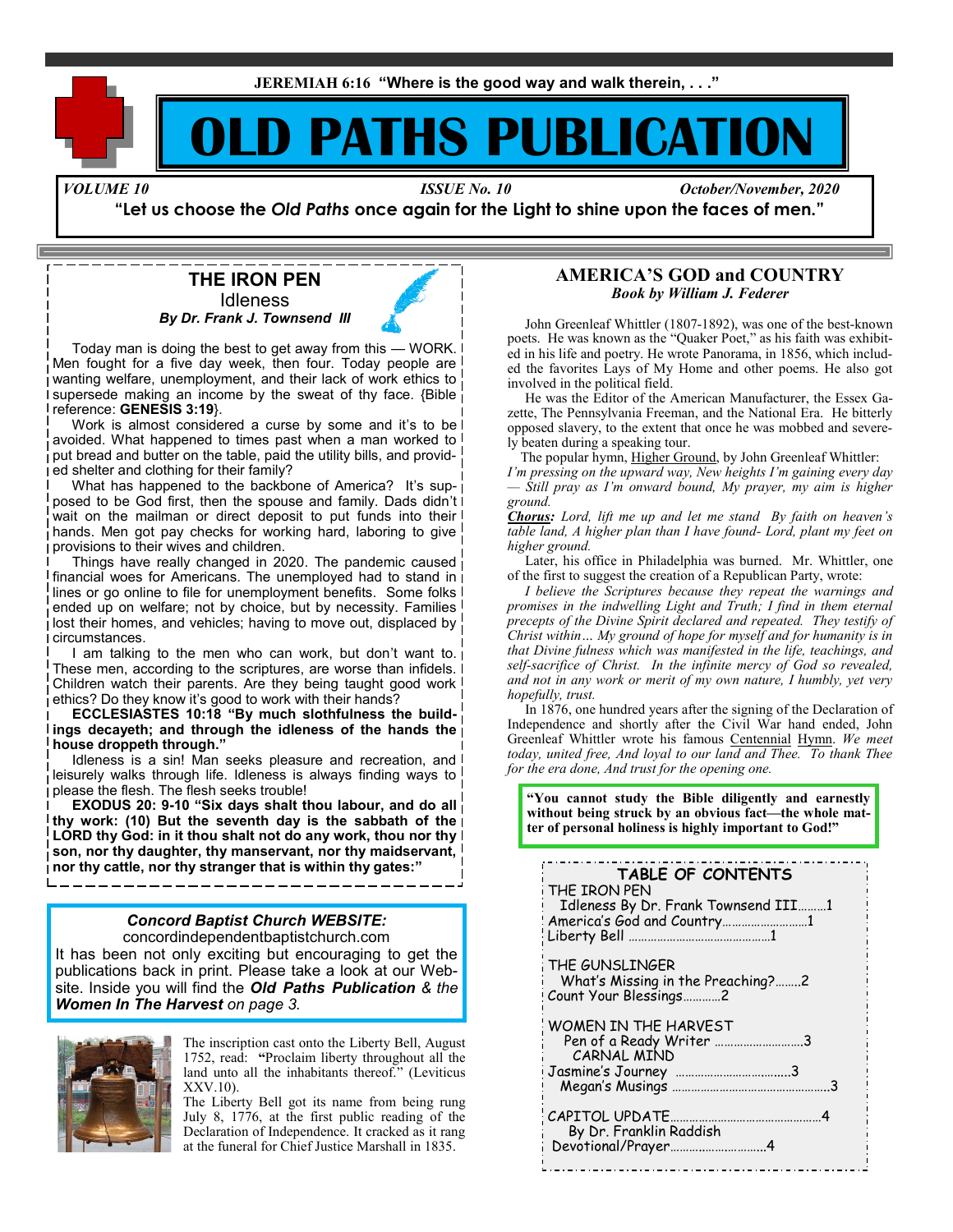**JEREMIAH 6:16 "Where is the good way and walk therein, . . ."**

# **PATHS PUBLICAT**

*VOLUME 10 ISSUE No. 10 October/November, 2020*

**"Let us choose the** *Old Paths* **once again for the Light to shine upon the faces of men."**

**THE IRON PEN Idleness** *By Dr. Frank J. Townsend III*

 Today man is doing the best to get away from this — WORK. Men fought for a five day week, then four. Today people are wanting welfare, unemployment, and their lack of work ethics to supersede making an income by the sweat of thy face. {Bible reference: **GENESIS 3:19**}.

Work is almost considered a curse by some and it's to be I avoided. What happened to times past when a man worked to I put bread and butter on the table, paid the utility bills, and provided shelter and clothing for their family?

What has happened to the backbone of America? It's supposed to be God first, then the spouse and family. Dads didn't wait on the mailman or direct deposit to put funds into their I hands. Men got pay checks for working hard, laboring to give provisions to their wives and children.

 Things have really changed in 2020. The pandemic caused financial woes for Americans. The unemployed had to stand in  $\mathsf{I}$ lines or go online to file for unemployment benefits. Some folks I ended up on welfare; not by choice, but by necessity. Families lost their homes, and vehicles; having to move out, displaced by circumstances.

I am talking to the men who can work, but don't want to i These men, according to the scriptures, are worse than infidels. Children watch their parents. Are they being taught good work ethics? Do they know it's good to work with their hands?

 **ECCLESIASTES 10:18 "By much slothfulness the buildings decayeth; and through the idleness of the hands the house droppeth through."**

Idleness is a sin! Man seeks pleasure and recreation, and leisurely walks through life. Idleness is always finding ways to please the flesh. The flesh seeks trouble!

 **EXODUS 20: 9-10 "Six days shalt thou labour, and do all thy work: (10) But the seventh day is the sabbath of the LORD thy God: in it thou shalt not do any work, thou nor thy son, nor thy daughter, thy manservant, nor thy maidservant, nor thy cattle, nor thy stranger that is within thy gates:"** 

# *Concord Baptist Church WEBSITE:*

concordindependentbaptistchurch.com It has been not only exciting but encouraging to get the publications back in print. Please take a look at our Website. Inside you will find the *Old Paths Publication & the Women In The Harvest on page 3.*



The inscription cast onto the Liberty Bell, August 1752, read: **"**Proclaim liberty throughout all the land unto all the inhabitants thereof." (Leviticus XXV.10).

The Liberty Bell got its name from being rung July 8, 1776, at the first public reading of the Declaration of Independence. It cracked as it rang at the funeral for Chief Justice Marshall in 1835.

### **AMERICA'S GOD and COUNTRY** *Book by William J. Federer*

 John Greenleaf Whittler (1807-1892), was one of the best-known poets. He was known as the "Quaker Poet," as his faith was exhibited in his life and poetry. He wrote Panorama, in 1856, which included the favorites Lays of My Home and other poems. He also got involved in the political field.

 He was the Editor of the American Manufacturer, the Essex Gazette, The Pennsylvania Freeman, and the National Era. He bitterly opposed slavery, to the extent that once he was mobbed and severely beaten during a speaking tour.

The popular hymn, Higher Ground, by John Greenleaf Whittler:

*I'm pressing on the upward way, New heights I'm gaining every day — Still pray as I'm onward bound, My prayer, my aim is higher ground.*

*Chorus: Lord, lift me up and let me stand By faith on heaven's table land, A higher plan than I have found- Lord, plant my feet on higher ground.*

 Later, his office in Philadelphia was burned. Mr. Whittler, one of the first to suggest the creation of a Republican Party, wrote:

 *I believe the Scriptures because they repeat the warnings and promises in the indwelling Light and Truth; I find in them eternal precepts of the Divine Spirit declared and repeated. They testify of Christ within… My ground of hope for myself and for humanity is in that Divine fulness which was manifested in the life, teachings, and self-sacrifice of Christ. In the infinite mercy of God so revealed, and not in any work or merit of my own nature, I humbly, yet very hopefully, trust.*

 In 1876, one hundred years after the signing of the Declaration of Independence and shortly after the Civil War hand ended, John Greenleaf Whittler wrote his famous Centennial Hymn. *We meet today, united free, And loyal to our land and Thee. To thank Thee for the era done, And trust for the opening one.*

**"You cannot study the Bible diligently and earnestly without being struck by an obvious fact—the whole matter of personal holiness is highly important to God!"**

| TABLE OF CONTENTS<br>THE IRON PEN<br>Idleness By Dr. Frank Townsend III1<br>America's God and Country1 |
|--------------------------------------------------------------------------------------------------------|
| THE GUNSLINGER<br>What's Missing in the Preaching?2<br>Count Your Blessings2                           |
| WOMEN IN THE HARVEST<br>Pen of a Ready Writer 3<br>CARNAL MIND                                         |
| CAPITOL UPDATE.<br>By Dr. Franklin Raddish<br>Devotional/Prayer4                                       |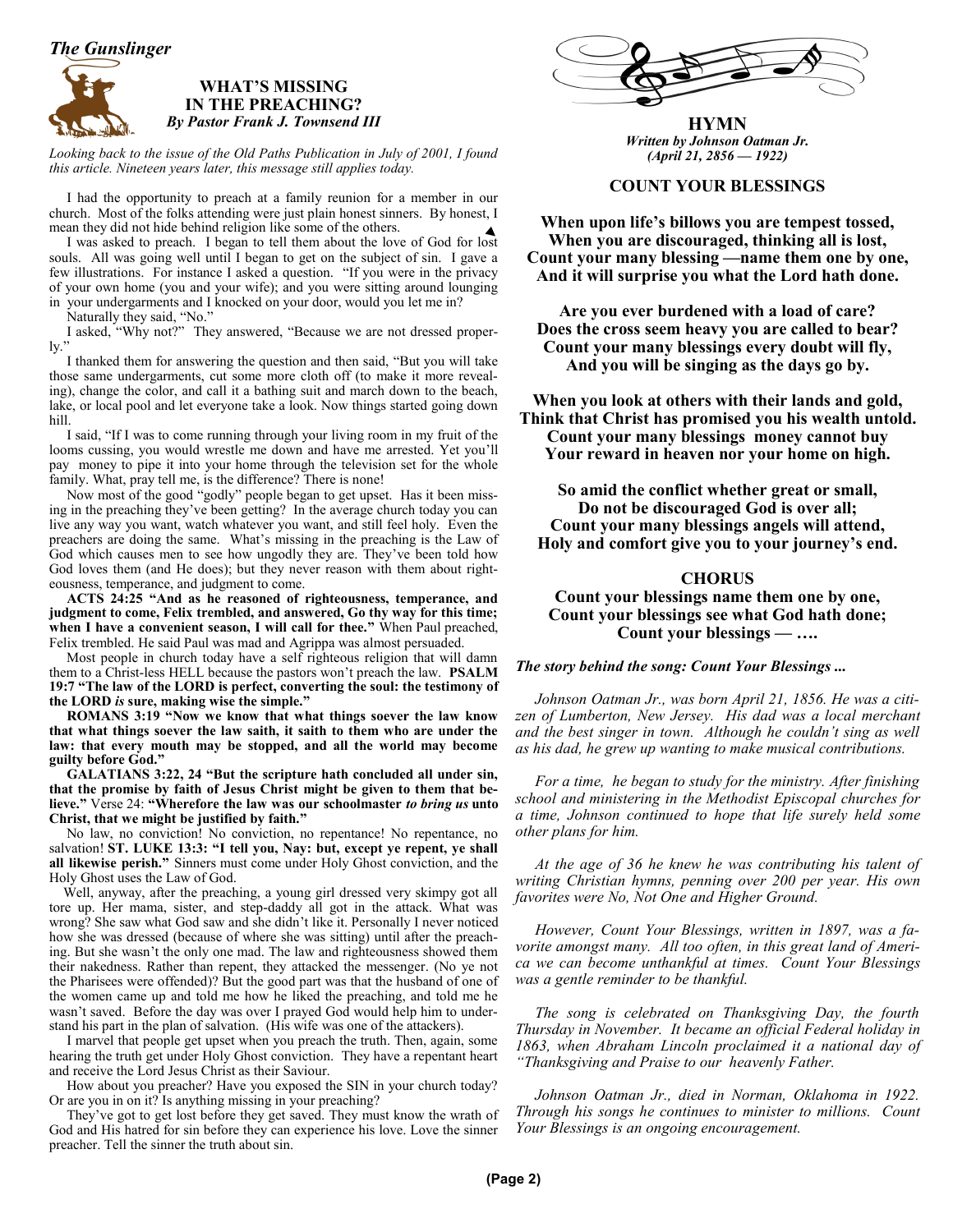*The Gunslinger*

### **WHAT'S MISSING IN THE PREACHING?** *By Pastor Frank J. Townsend III*

Looking back to the issue of the Old Paths Publication in July of 2001, I found *this article. Nineteen years later, this message still applies today.*

 I had the opportunity to preach at a family reunion for a member in our church. Most of the folks attending were just plain honest sinners. By honest, I mean they did not hide behind religion like some of the others.

 I was asked to preach. I began to tell them about the love of God for lost souls. All was going well until I began to get on the subject of sin. I gave a few illustrations. For instance I asked a question. "If you were in the privacy of your own home (you and your wife); and you were sitting around lounging in your undergarments and I knocked on your door, would you let me in?

Naturally they said, "No."

 I asked, "Why not?" They answered, "Because we are not dressed properly."

 I thanked them for answering the question and then said, "But you will take those same undergarments, cut some more cloth off (to make it more revealing), change the color, and call it a bathing suit and march down to the beach, lake, or local pool and let everyone take a look. Now things started going down hill.

 I said, "If I was to come running through your living room in my fruit of the looms cussing, you would wrestle me down and have me arrested. Yet you'll pay money to pipe it into your home through the television set for the whole family. What, pray tell me, is the difference? There is none!

 Now most of the good "godly" people began to get upset. Has it been missing in the preaching they've been getting? In the average church today you can live any way you want, watch whatever you want, and still feel holy. Even the preachers are doing the same. What's missing in the preaching is the Law of God which causes men to see how ungodly they are. They've been told how God loves them (and He does); but they never reason with them about righteousness, temperance, and judgment to come.

 **ACTS 24:25 "And as he reasoned of righteousness, temperance, and judgment to come, Felix trembled, and answered, Go thy way for this time; when I have a convenient season, I will call for thee."** When Paul preached, Felix trembled. He said Paul was mad and Agrippa was almost persuaded.

 Most people in church today have a self righteous religion that will damn them to a Christ-less HELL because the pastors won't preach the law. **PSALM 19:7 "The law of the LORD is perfect, converting the soul: the testimony of the LORD** *is* **sure, making wise the simple."** 

 **ROMANS 3:19 "Now we know that what things soever the law know that what things soever the law saith, it saith to them who are under the law: that every mouth may be stopped, and all the world may become guilty before God."** 

 **GALATIANS 3:22, 24 "But the scripture hath concluded all under sin, that the promise by faith of Jesus Christ might be given to them that believe."** Verse 24: **"Wherefore the law was our schoolmaster** *to bring us* **unto Christ, that we might be justified by faith."**

 No law, no conviction! No conviction, no repentance! No repentance, no salvation! **ST. LUKE 13:3: "I tell you, Nay: but, except ye repent, ye shall all likewise perish."** Sinners must come under Holy Ghost conviction, and the Holy Ghost uses the Law of God.

 Well, anyway, after the preaching, a young girl dressed very skimpy got all tore up. Her mama, sister, and step-daddy all got in the attack. What was wrong? She saw what God saw and she didn't like it. Personally I never noticed how she was dressed (because of where she was sitting) until after the preaching. But she wasn't the only one mad. The law and righteousness showed them their nakedness. Rather than repent, they attacked the messenger. (No ye not the Pharisees were offended)? But the good part was that the husband of one of the women came up and told me how he liked the preaching, and told me he wasn't saved. Before the day was over I prayed God would help him to understand his part in the plan of salvation. (His wife was one of the attackers).

 I marvel that people get upset when you preach the truth. Then, again, some hearing the truth get under Holy Ghost conviction. They have a repentant heart and receive the Lord Jesus Christ as their Saviour.

 How about you preacher? Have you exposed the SIN in your church today? Or are you in on it? Is anything missing in your preaching?

 They've got to get lost before they get saved. They must know the wrath of God and His hatred for sin before they can experience his love. Love the sinner preacher. Tell the sinner the truth about sin.



**HYMN** *Written by Johnson Oatman Jr. (April 21, 2856 — 1922)*

### **COUNT YOUR BLESSINGS**

**When upon life's billows you are tempest tossed, When you are discouraged, thinking all is lost, Count your many blessing —name them one by one, And it will surprise you what the Lord hath done.**

**Are you ever burdened with a load of care? Does the cross seem heavy you are called to bear? Count your many blessings every doubt will fly, And you will be singing as the days go by.**

**When you look at others with their lands and gold, Think that Christ has promised you his wealth untold. Count your many blessings money cannot buy Your reward in heaven nor your home on high.**

**So amid the conflict whether great or small, Do not be discouraged God is over all; Count your many blessings angels will attend, Holy and comfort give you to your journey's end.**

### **CHORUS**

**Count your blessings name them one by one, Count your blessings see what God hath done; Count your blessings — ….**

### *The story behind the song: Count Your Blessings ...*

 *Johnson Oatman Jr., was born April 21, 1856. He was a citizen of Lumberton, New Jersey. His dad was a local merchant and the best singer in town. Although he couldn't sing as well as his dad, he grew up wanting to make musical contributions.*

 *For a time, he began to study for the ministry. After finishing school and ministering in the Methodist Episcopal churches for a time, Johnson continued to hope that life surely held some other plans for him.*

 *At the age of 36 he knew he was contributing his talent of writing Christian hymns, penning over 200 per year. His own favorites were No, Not One and Higher Ground.*

 *However, Count Your Blessings, written in 1897, was a favorite amongst many. All too often, in this great land of America we can become unthankful at times. Count Your Blessings was a gentle reminder to be thankful.* 

 *The song is celebrated on Thanksgiving Day, the fourth Thursday in November. It became an official Federal holiday in 1863, when Abraham Lincoln proclaimed it a national day of "Thanksgiving and Praise to our heavenly Father.*

 *Johnson Oatman Jr., died in Norman, Oklahoma in 1922. Through his songs he continues to minister to millions. Count Your Blessings is an ongoing encouragement.*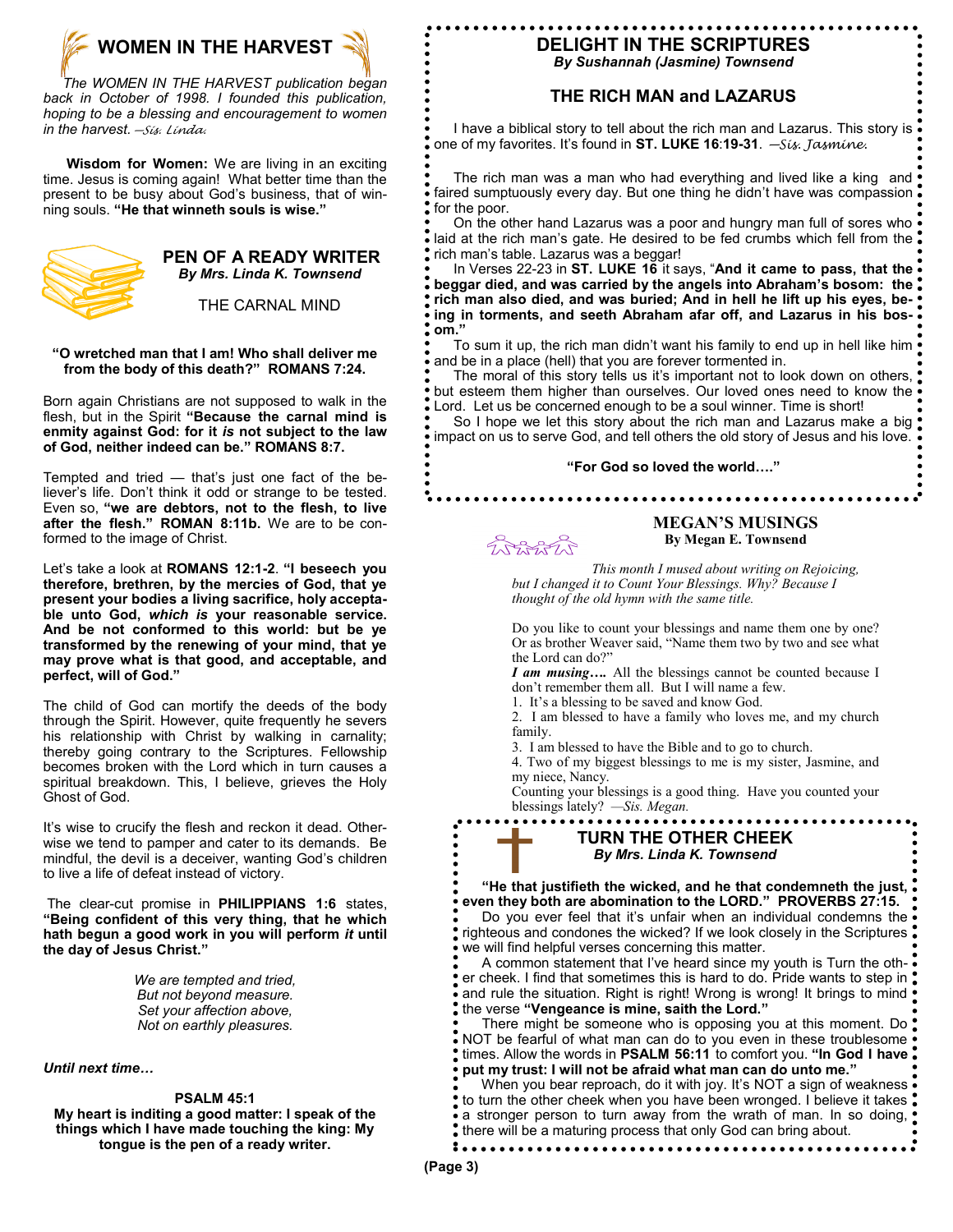

 *The WOMEN IN THE HARVEST publication began back in October of 1998. I founded this publication, hoping to be a blessing and encouragement to women in the harvest.—Sis. Linda.*

**Wisdom for Women:** We are living in an exciting time. Jesus is coming again! What better time than the present to be busy about God's business, that of winning souls. **"He that winneth souls is wise."** 



### **PEN OF A READY WRITER** *By Mrs. Linda K. Townsend*

THE CARNAL MIND

### **"O wretched man that I am! Who shall deliver me from the body of this death?" ROMANS 7:24.**

Born again Christians are not supposed to walk in the flesh, but in the Spirit **"Because the carnal mind is enmity against God: for it** *is* **not subject to the law of God, neither indeed can be." ROMANS 8:7.**

Tempted and tried — that's just one fact of the believer's life. Don't think it odd or strange to be tested. Even so, **"we are debtors, not to the flesh, to live after the flesh." ROMAN 8:11b.** We are to be conformed to the image of Christ.

Let's take a look at **ROMANS 12:1-2**. **"I beseech you therefore, brethren, by the mercies of God, that ye present your bodies a living sacrifice, holy acceptable unto God,** *which is* **your reasonable service. And be not conformed to this world: but be ye transformed by the renewing of your mind, that ye may prove what is that good, and acceptable, and perfect, will of God."**

The child of God can mortify the deeds of the body through the Spirit. However, quite frequently he severs his relationship with Christ by walking in carnality; thereby going contrary to the Scriptures. Fellowship becomes broken with the Lord which in turn causes a spiritual breakdown. This, I believe, grieves the Holy Ghost of God.

It's wise to crucify the flesh and reckon it dead. Otherwise we tend to pamper and cater to its demands. Be mindful, the devil is a deceiver, wanting God's children to live a life of defeat instead of victory.

The clear-cut promise in **PHILIPPIANS 1:6** states, **"Being confident of this very thing, that he which hath begun a good work in you will perform** *it* **until the day of Jesus Christ."**

> *We are tempted and tried, But not beyond measure. Set your affection above, Not on earthly pleasures.*

*Until next time…* 

### **PSALM 45:1**

**My heart is inditing a good matter: I speak of the things which I have made touching the king: My tongue is the pen of a ready writer.** 

# **DELIGHT IN THE SCRIPTURES**

*By Sushannah (Jasmine) Townsend*

### **THE RICH MAN and LAZARUS**

 I have a biblical story to tell about the rich man and Lazarus. This story is one of my favorites. It's found in **ST. LUKE 16**:**19-31**. *—Sis. Jasmine.*

 The rich man was a man who had everything and lived like a king and faired sumptuously every day. But one thing he didn't have was compassion for the poor.

On the other hand Lazarus was a poor and hungry man full of sores who . laid at the rich man's gate. He desired to be fed crumbs which fell from the rich man's table. Lazarus was a beggar!

 In Verses 22-23 in **ST. LUKE 16** it says, "**And it came to pass, that the beggar died, and was carried by the angels into Abraham's bosom: the rich man also died, and was buried; And in hell he lift up his eyes, being in torments, and seeth Abraham afar off, and Lazarus in his bosom."** 

To sum it up, the rich man didn't want his family to end up in hell like him and be in a place (hell) that you are forever tormented in.

 The moral of this story tells us it's important not to look down on others, but esteem them higher than ourselves. Our loved ones need to know the Lord. Let us be concerned enough to be a soul winner. Time is short!

So I hope we let this story about the rich man and Lazarus make a big impact on us to serve God, and tell others the old story of Jesus and his love.

#### **"For God so loved the world…."**

PARAPA

### **MEGAN'S MUSINGS By Megan E. Townsend**

*This month I mused about writing on Rejoicing, but I changed it to Count Your Blessings. Why? Because I thought of the old hymn with the same title.* 

Do you like to count your blessings and name them one by one? Or as brother Weaver said, "Name them two by two and see what the Lord can do?"

*I am musing….* All the blessings cannot be counted because I don't remember them all. But I will name a few.

1. It's a blessing to be saved and know God.

2. I am blessed to have a family who loves me, and my church family.

3. I am blessed to have the Bible and to go to church.

4. Two of my biggest blessings to me is my sister, Jasmine, and my niece, Nancy.

Counting your blessings is a good thing. Have you counted your blessings lately? *—Sis. Megan.*

### **TURN THE OTHER CHEEK** *By Mrs. Linda K. Townsend*

 **"He that justifieth the wicked, and he that condemneth the just, even they both are abomination to the LORD." PROVERBS 27:15.** Do you ever feel that it's unfair when an individual condemns the righteous and condones the wicked? If we look closely in the Scriptures we will find helpful verses concerning this matter.

 A common statement that I've heard since my youth is Turn the other cheek. I find that sometimes this is hard to do. Pride wants to step in and rule the situation. Right is right! Wrong is wrong! It brings to mind ! the verse **"Vengeance is mine, saith the Lord."**

There might be someone who is opposing you at this moment. Do NOT be fearful of what man can do to you even in these troublesome times. Allow the words in **PSALM 56:11** to comfort you. **"In God I have put my trust: I will not be afraid what man can do unto me."**

When you bear reproach, do it with joy. It's NOT a sign of weakness to turn the other cheek when you have been wronged. I believe it takes a stronger person to turn away from the wrath of man. In so doing,  $\overset{\bullet}{\bullet}$  there will be a maturing process that only God can bring about.